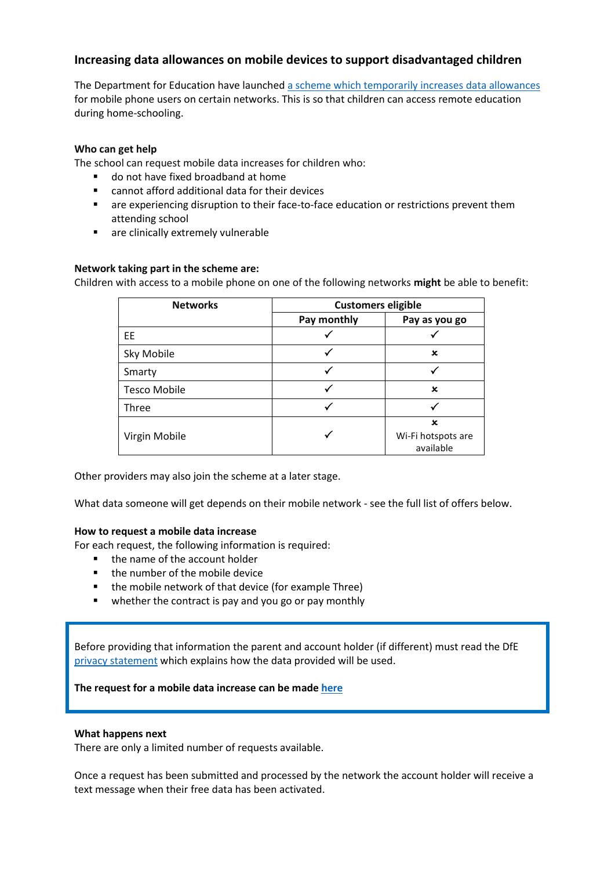## **Increasing data allowances on mobile devices to support disadvantaged children**

The Department for Education have launched [a scheme which temporarily increases data allowances](https://get-help-with-tech.education.gov.uk/about-increasing-mobile-data) for mobile phone users on certain networks. This is so that children can access remote education during home-schooling.

#### **Who can get help**

The school can request mobile data increases for children who:

- do not have fixed broadband at home
- cannot afford additional data for their devices
- **■** are experiencing disruption to their face-to-face education or restrictions prevent them attending school
- are clinically extremely vulnerable

#### **Network taking part in the scheme are:**

Children with access to a mobile phone on one of the following networks **might** be able to benefit:

| <b>Networks</b>     | <b>Customers eligible</b> |                                 |
|---------------------|---------------------------|---------------------------------|
|                     | Pay monthly               | Pay as you go                   |
| EE                  | √                         |                                 |
| Sky Mobile          |                           | x                               |
| Smarty              | √                         |                                 |
| <b>Tesco Mobile</b> |                           | $\mathbf x$                     |
| Three               |                           |                                 |
|                     |                           | $\mathbf x$                     |
| Virgin Mobile       | √                         | Wi-Fi hotspots are<br>available |

Other providers may also join the scheme at a later stage.

What data someone will get depends on their mobile network - see the full list of offers below.

#### **How to request a mobile data increase**

For each request, the following information is required:

- the name of the account holder
- the number of the mobile device
- the mobile network of that device (for example Three)
- whether the contract is pay and you go or pay monthly

Before providing that information the parent and account holder (if different) must read the DfE [privacy statement](#page-2-0) which explains how the data provided will be used.

#### **The request for a mobile data increase can be made [here](https://forms.office.com/Pages/ResponsePage.aspx?id=7cXzqZdY-kCCZ246vAAaNP15Lin2HEVEoRKrxmYCdFdURTZPN0FZSFU0Tk42RVVIQUJTWUdTTFdLNC4u)**

#### **What happens next**

There are only a limited number of requests available.

Once a request has been submitted and processed by the network the account holder will receive a text message when their free data has been activated.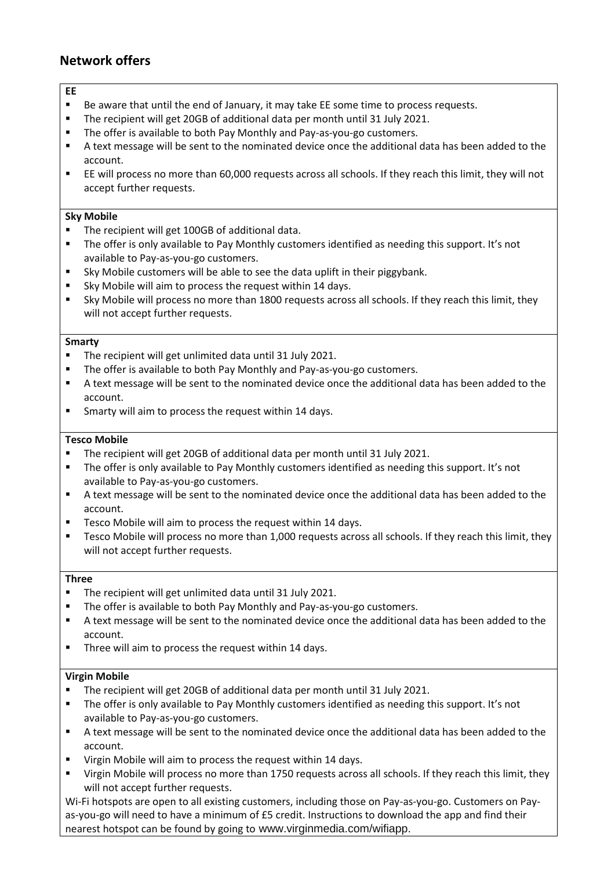# **Network offers**

#### **EE**

- Be aware that until the end of January, it may take EE some time to process requests.
- The recipient will get 20GB of additional data per month until 31 July 2021.
- The offer is available to both Pay Monthly and Pay-as-you-go customers.
- A text message will be sent to the nominated device once the additional data has been added to the account.
- EE will process no more than 60,000 requests across all schools. If they reach this limit, they will not accept further requests.

#### **Sky Mobile**

- The recipient will get 100GB of additional data.
- The offer is only available to Pay Monthly customers identified as needing this support. It's not available to Pay-as-you-go customers.
- Sky Mobile customers will be able to see the data uplift in their piggybank.
- Sky Mobile will aim to process the request within 14 days.
- Sky Mobile will process no more than 1800 requests across all schools. If they reach this limit, they will not accept further requests.

#### **Smarty**

- The recipient will get unlimited data until 31 July 2021.
- The offer is available to both Pay Monthly and Pay-as-you-go customers.
- A text message will be sent to the nominated device once the additional data has been added to the account.
- Smarty will aim to process the request within 14 days.

#### **Tesco Mobile**

- The recipient will get 20GB of additional data per month until 31 July 2021.
- The offer is only available to Pay Monthly customers identified as needing this support. It's not available to Pay-as-you-go customers.
- A text message will be sent to the nominated device once the additional data has been added to the account.
- Tesco Mobile will aim to process the request within 14 days.
- Tesco Mobile will process no more than 1,000 requests across all schools. If they reach this limit, they will not accept further requests.

#### **Three**

- The recipient will get unlimited data until 31 July 2021.
- The offer is available to both Pay Monthly and Pay-as-you-go customers.
- A text message will be sent to the nominated device once the additional data has been added to the account.
- Three will aim to process the request within 14 days.

#### **Virgin Mobile**

- The recipient will get 20GB of additional data per month until 31 July 2021.
- The offer is only available to Pay Monthly customers identified as needing this support. It's not available to Pay-as-you-go customers.
- A text message will be sent to the nominated device once the additional data has been added to the account.
- Virgin Mobile will aim to process the request within 14 days.
- Virgin Mobile will process no more than 1750 requests across all schools. If they reach this limit, they will not accept further requests.

Wi-Fi hotspots are open to all existing customers, including those on Pay-as-you-go. Customers on Payas-you-go will need to have a minimum of £5 credit. Instructions to download the app and find their nearest hotspot can be found by going to www.virginmedia.com/wifiapp.